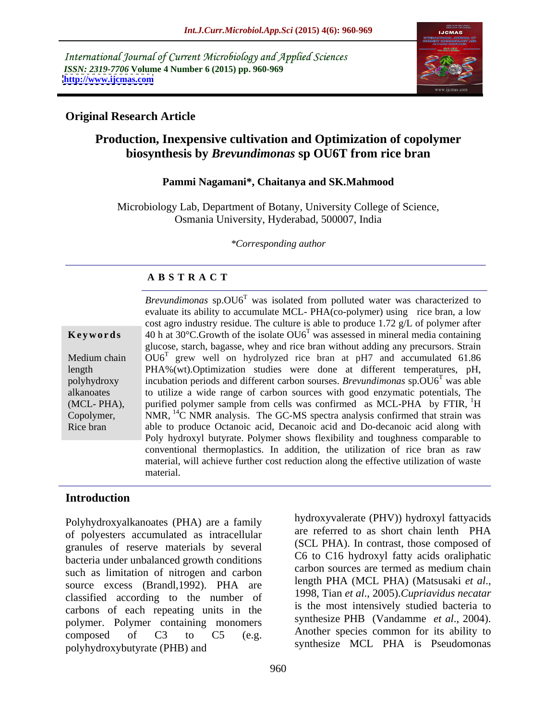International Journal of Current Microbiology and Applied Sciences *ISSN: 2319-7706* **Volume 4 Number 6 (2015) pp. 960-969 <http://www.ijcmas.com>**



### **Original Research Article**

# **Production, Inexpensive cultivation and Optimization of copolymer biosynthesis by** *Brevundimonas* **sp OU6T from rice bran**

### **Pammi Nagamani\*, Chaitanya and SK.Mahmood**

Microbiology Lab, Department of Botany, University College of Science, Osmania University, Hyderabad, 500007, India

*\*Corresponding author*

### **A B S T R A C T**

Rice bran

Brevundimonas sp.OU6<sup>T</sup> was isolated from polluted water was characterized to evaluate its ability to accumulate MCL- PHA(co-polymer) using rice bran, a low cost agro industry residue. The culture is able to produce 1.72 g/L of polymer after 40 h at 30°C.Growth of the isolate OU6<sup>T</sup> was assessed in mineral media containing **Ke ywo rds** glucose, starch, bagasse, whey and rice bran without adding any precursors. Strain Medium chain  $\sqrt{OU6^T}$  grew well on hydrolyzed rice bran at pH7 and accumulated 61.86 length PHA%(wt).Optimization studies were done at different temperatures, pH, polyhydroxy incubation periods and different carbon sourses. *Brevundimonas* sp. OU6<sup>T</sup> was able was able to utilize a wide range of carbon sources with good enzymatic potentials, The alkanoates (MCL-PHA), purified polymer sample from cells was confirmed as MCL-PHA by FTIR, <sup>1</sup>H Copolymer,  $NMR$ ,  $^{14}C NMR$  analysis. The GC-MS spectra analysis confirmed that strain was able to produce Octanoic acid, Decanoic acid and Do-decanoic acid along with Poly hydroxyl butyrate. Polymer shows flexibility and toughness comparable to conventional thermoplastics. In addition, the utilization of rice bran as raw material, will achieve further cost reduction along the effective utilization of waste material.

### **Introduction**

Polyhydroxyalkanoates (PHA) are a family of polyesters accumulated as intracellular granules of reserve materials by several bacteria under unbalanced growth conditions such as limitation of nitrogen and carbon<br>example of the series of the carbon sources are termed as medium chain<br>length PHA (MCL PHA) (Matsusaki et al., source excess (Brandl, 1992). PHA are length PHA (MCL PHA) (Matsusaki *et al.*, algoritied according to the number of 1998, Tian *et al.*, 2005). Cupriavidus necatar classified according to the number of carbons of each repeating units in the polymer. Polymer containing monomers composed of  $C3$  to  $C5$  (e.g. Another species common for its ability to polyhydroxybutyrate (PHB) and

hydroxyvalerate (PHV)) hydroxyl fattyacids are referred to as short chain lenth PHA (SCL PHA). In contrast, those composed of C6 to C16 hydroxyl fatty acids oraliphatic carbon sources are termed as medium chain length PHA (MCL PHA) (Matsusaki *et al*., 1998, Tian *et al*., 2005).*Cupriavidus necatar* is the most intensively studied bacteria to synthesize PHB (Vandamme *et al*., 2004). Another species common for its ability to synthesize MCL PHA is Pseudomonas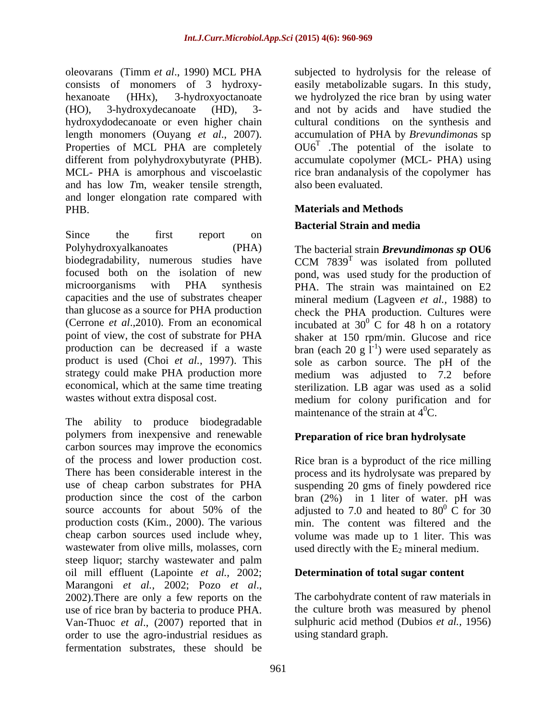and has low *T*m, weaker tensile strength, and longer elongation rate compared with PHB. **Materials and Methods**

Since the first report on Polyhydroxyalkanoates (PHA) The bacterial strain *Brevundimonas sp* OU6 biodegradability, numerous studies have CCM 7839<sup>T</sup> was isolated from polluted focused both on the isolation of new pond, was used study for the production of microorganisms with PHA synthesis PHA. The strain was maintained on E2 capacities and the use of substrates cheaper mineral medium (Lagveen *et al.,* 1988) to than glucose as a source for PHA production check the PHA production. Cultures were (Cerrone *et al.*,2010). From an economical incubated at  $30^{\circ}$  C for 48 h on a rotatory point of view, the cost of substrate for PHA shaker at 150 rpm/min. Glucose and rice production can be decreased if a waste bran (each 20 g  $\mathbf{l}^{-1}$ ) were used separately as product is used (Choi *et al.*, 1997). This sole as carbon source. The pH of the strategy could make PHA production more economical, which at the same time treating sterilization. LB agar was used as a solid

The ability to produce biodegradable polymers from inexpensive and renewable carbon sources may improve the economics of the process and lower production cost. There has been considerable interest in the process and its hydrolysate was prepared by use of cheap carbon substrates for PHA suspending 20 gms of finely powdered rice production since the cost of the carbon bran (2%) in 1 liter of water. pH was source accounts for about 50% of the adjusted to 7.0 and heated to 80<sup>0</sup> C for 30 production costs (Kim., 2000). The various min. The content was filtered and the cheap carbon sources used include whey, volume was made up to 1 liter. This was wastewater from olive mills, molasses, corn used directly with the  $E_2$  mineral medium. steep liquor; starchy wastewater and palm oil mill effluent (Lapointe *et al.,* 2002; Marangoni *et al.*, 2002; Pozo *et al.*,<br>2002).There are only a few reports on the The carbohydrate content of raw materials in use of rice bran by bacteria to produce PHA. Van-Thuoc *et al*., (2007) reported that in order to use the agro-industrial residues as fermentation substrates, these should be

oleovarans (Timm *et al.*, 1990) MCL PHA subjected to hydrolysis for the release of consists of monomers of 3 hydroxy- easily metabolizable sugars. In this study, hexanoate (HHx), 3-hydroxyoctanoate we hydrolyzed the rice bran by using water (HO), 3-hydroxydecanoate (HD), 3- and not by acids and have studied the hydroxydodecanoate or even higher chain cultural conditions on the synthesis and length monomers (Ouyang *et al*., 2007). accumulation of PHA by *Brevundimona*s sp Properties of MCL PHA are completely  $OU6<sup>T</sup>$  . The potential of the isolate to different from polyhydroxybutyrate (PHB). accumulate copolymer (MCL- PHA) using MCL- PHA is amorphous and viscoelastic ince bran andanalysis of the copolymer has also been evaluated.

# **Bacterial Strain and media**

wastes without extra disposal cost. medium for colony purification and for was isolated from polluted  $\overline{0}$  C for 48 h on a rotatory ) were used separately as medium was adjusted to 7.2 before maintenance of the strain at  $4^0C$ .

# **Preparation of rice bran hydrolysate**

Rice bran is a byproduct of the rice milling  $\overline{0}$  C for 30

### **Determination of total sugar content**

The carbohydrate content of raw materials in the culture broth was measured by phenol sulphuric acid method (Dubios *et al.,* 1956) using standard graph.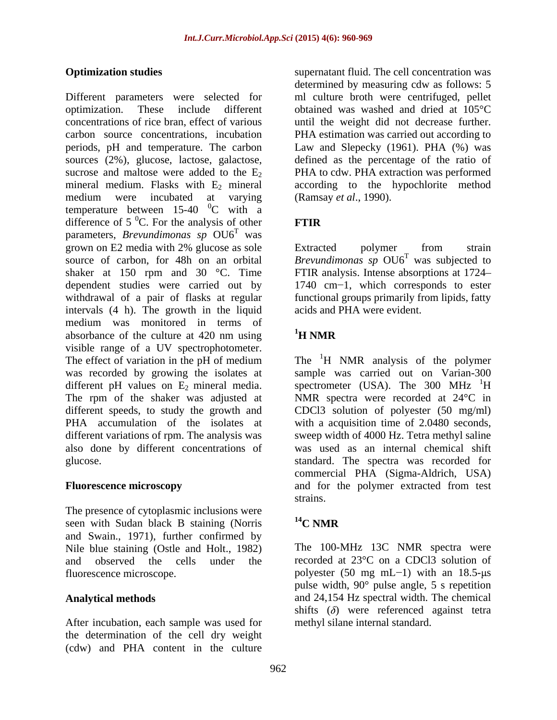Different parameters were selected for ml culture broth were centrifuged, pellet optimization. These include different obtained was washed and dried at 105°C concentrations of rice bran, effect of various until the weight did not decrease further. carbon source concentrations, incubation PHA estimation was carried out according to periods, pH and temperature. The carbon Law and Slepecky (1961). PHA (%) was sources (2%), glucose, lactose, galactose, defined as the percentage of the ratio of sucrose and maltose were added to the  $E_2$  PHA to cdw. PHA extraction was performed mineral medium. Flasks with  $E_2$  mineral according to the hypochlorite method medium were incubated at varying (Ramsay *et al.*, 1990). temperature between  $15-40$  <sup>0</sup>C with a difference of  $5^{\circ}$ C. For the analysis of other **FTIR** parameters, *Brevundimonas sp* OU6<sup>T</sup> was<br>grown on E2 media with 2% glucose as sole was **was** and the set of the set of the set of the set of the set of the set of the set of the set of the set of the set of the set of the set of the set of the set of the set of the set of the set of the set of the set of grown on E2 media with 2% glucose as sole source of carbon, for 48h on an orbital *Brevundimonas sp*  $O\mathrm{U6}^T$  was subjected to shaker at 150 rpm and 30 °C. Time FTIR analysis. Intense absorptions at 1724 dependent studies were carried out by 1740 cm 1, which corresponds to ester withdrawal of a pair of flasks at regular functional groups primarily from lipids, fatty intervals (4 h). The growth in the liquid medium was monitored in terms of<br>absorbance of the culture at 420 nm using  $^{1}$ H NMR absorbance of the culture at 420 nm using visible range of a UV spectrophotometer. The effect of variation in the pH of medium The  ${}^{1}H$  NMR analysis of the polymer was recorded by growing the isolates at sample was carried out on Varian-300 different pH values on  $E_2$  mineral media. spectrometer (USA). The 300 MHz  $H$ The rpm of the shaker was adjusted at NMR spectra were recorded at 24°C in different speeds, to study the growth and CDCl3 solution of polyester (50 mg/ml) PHA accumulation of the isolates at different variations of rpm. The analysis was sweep width of 4000 Hz. Tetra methyl saline also done by different concentrations of was used as an internal chemical shift glucose. standard. The spectra was recorded for

The presence of cytoplasmic inclusions were<br>seen with Sudan black B staining (Norris  $14$ C NMR seen with Sudan black B staining (Norris and Swain., 1971), further confirmed by Nile blue staining (Ostle and Holt., 1982)

After incubation, each sample was used for the determination of the cell dry weight (cdw) and PHA content in the culture

**Optimization studies** extending the supernatant fluid. The cell concentration was determined by measuring cdw as follows: 5 (Ramsay *et al*., 1990).

### **FTIR**

Extracted polymer from strain was subjected to acids and PHA were evident.

## **1H NMR**

**Fluorescence microscopy** and for the polymer extracted from test  $\rm ^1H$ with a acquisition time of 2.0480 seconds, commercial PHA (Sigma-Aldrich, USA) strains.

# **14C NMR**

and observed the cells under the recorded at 23°C on a CDCl3 solution of fluorescence microscope. by polyester (50 mg mL-1) with an 18.5-us **Analytical methods**  and 24,154 Hz spectral width. The chemical The 100-MHz 13C NMR spectra were pulse width, 90° pulse angle, 5 s repetition shifts  $(\delta)$  were referenced against tetra methyl silane internal standard.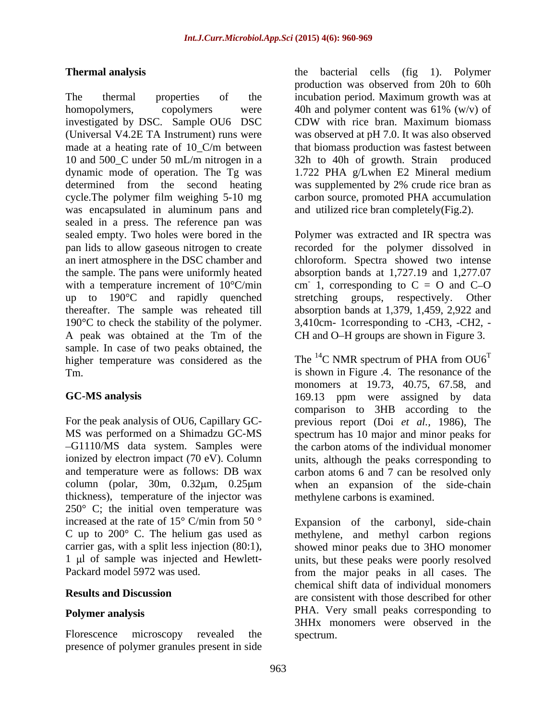The thermal properties of the incubation period. Maximum growth was at homopolymers, copolymers were 40h and polymer content was  $61\%$  (w/v) of investigated by DSC. Sample OU6 DSC CDW with rice bran. Maximum biomass (Universal V4.2E TA Instrument) runs were was observed at pH 7.0. It was also observed made at a heating rate of 10\_C/m between that biomass production was fastest between 10 and 500<sub></sub>C under 50 mL/m nitrogen in a 32h to 40h of growth. Strain produced dynamic mode of operation. The Tg was determined from the second heating was supplemented by 2% crude rice bran as cycle.The polymer film weighing 5-10 mg carbon source, promoted PHA accumulation was encapsulated in aluminum pans and sealed in a press. The reference pan was sealed empty. Two holes were bored in the Polymer was extracted and IR spectra was pan lids to allow gaseous nitrogen to create recorded for the polymer dissolved in an inert atmosphere in the DSC chamber and the sample. The pans were uniformly heated absorption bands at 1,727.19 and 1,277.07 with a temperature increment of  $10^{\circ}$ C/min cm 1, corresponding to C = O and C-O up to 190°C and rapidly quenched stretching groups, respectively. Other thereafter. The sample was reheated till absorption bands at 1,379, 1,459, 2,922 and 190°C to check the stability of the polymer. 3,410cm- 1corresponding to -CH3, -CH2, - A peak was obtained at the Tm of the CH and O–H groups are shown in Figure 3. sample. In case of two peaks obtained, the higher temperature was considered as the Tm. is shown in Figure .4. The resonance of the

thickness), temperature of the injector was  $250^{\circ}$  C; the initial oven temperature was

presence of polymer granules present in side

**Thermal analysis**  the bacterial cells (fig 1). Polymer production was observed from 20h to 60h 40h and polymer content was 61% (w/v) of CDW with rice bran. Maximum biomass 1.722 PHA g/Lwhen E2 Mineral medium and utilized rice bran completely(Fig.2).

chloroform. Spectra showed two intense

**GC-MS analysis**  169.13 ppm were assigned by data For the peak analysis of OU6, Capillary GC- previous report (Doi *et al.,* 1986), The MS was performed on a Shimadzu GC-MS spectrum has 10 major and minor peaks for G1110/MS data system. Samples were the carbon atoms of the individual monomer ionized by electron impact (70 eV). Column units, although the peaks corresponding to and temperature were as follows: DB wax carbon atoms 6 and 7 can be resolved only column (polar,  $30m$ ,  $0.32\mu m$ ,  $0.25\mu m$  when an expansion of the side-chain The  $^{14}$ C NMR spectrum of PHA from  $OU6<sup>T</sup>$ monomers at 19.73, 40.75, 67.58, and comparison to 3HB according to the methylene carbons is examined.

increased at the rate of  $15^{\circ}$  C/min from  $50^{\circ}$  Expansion of the carbonyl, side-chain C up to 200° C. The helium gas used as methylene, and methyl carbon regions carrier gas, with a split less injection (80:1), showed minor peaks due to 3HO monomer 1 µl of sample was injected and Hewlett- units, but these peaks were poorly resolved Packard model 5972 was used. from the major peaks in all cases. The **Results and Discussion Polymer analysis PHA.** Very small peaks corresponding to Florescence microscopy revealed the spectrum. chemical shift data of individual monomers 3HHx monomers were observed in the spectrum.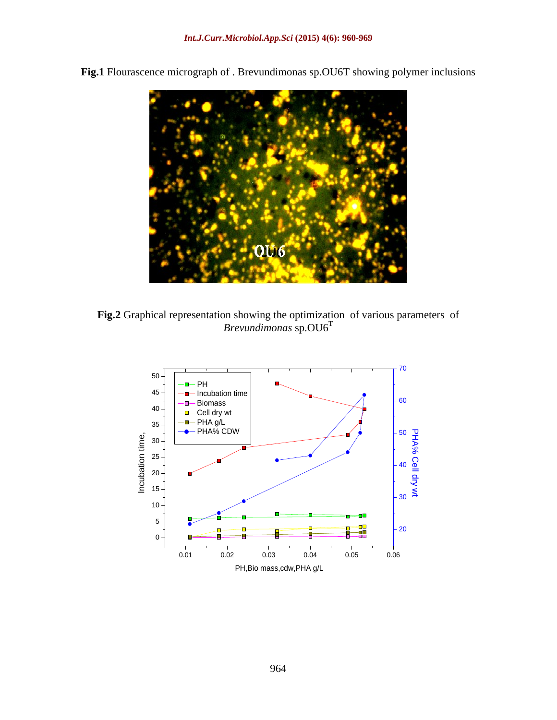

**Fig.1** Flourascence micrograph of . Brevundimonas sp.OU6T showing polymer inclusions

**Fig.2** Graphical representation showing the optimization of various parameters of *Brevundimonas* sp. $OU6<sup>T</sup>$ *Brevundimonas* sp.OU6<sup>T</sup>

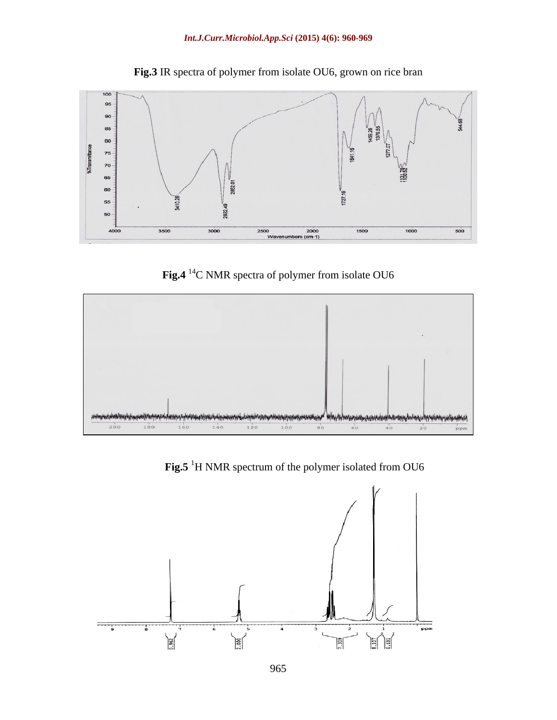

**Fig.3** IR spectra of polymer from isolate OU6, grown on rice bran

**Fig.4** 14C NMR spectra of polymer from isolate OU6



Fig.5<sup>1</sup>H NMR spectrum of the polymer isolated from OU6

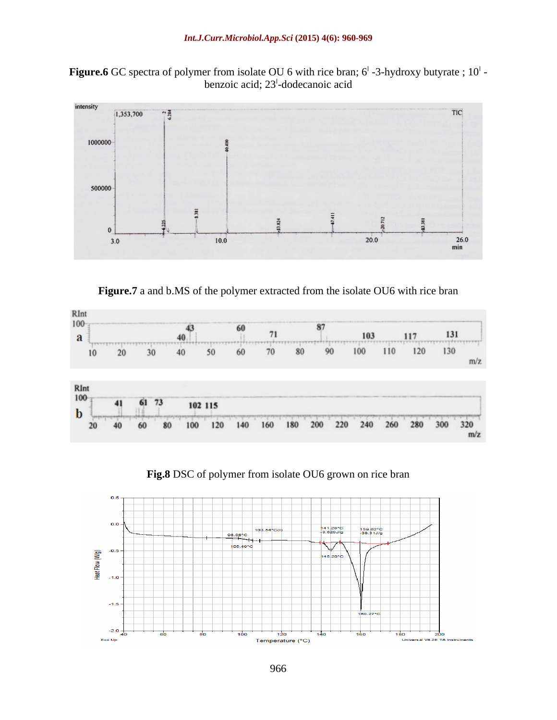



**Figure.7** a and b.MS of the polymer extracted from the isolate OU6 with rice bran



**Fig.8** DSC of polymer from isolate OU6 grown on rice bran

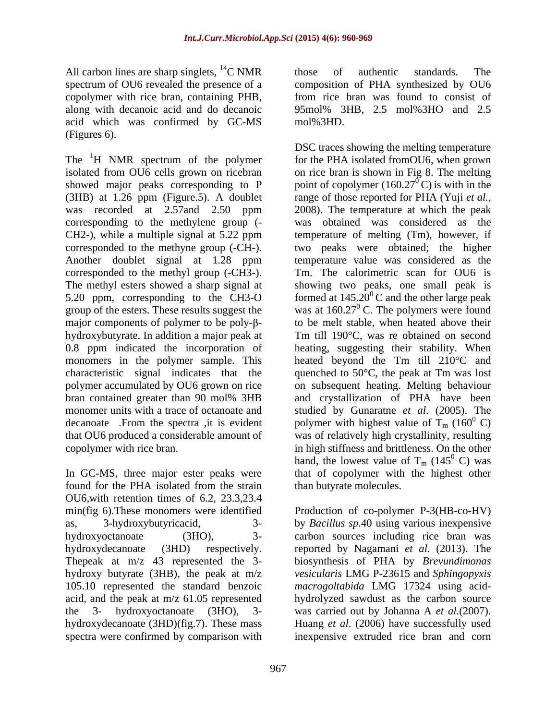All carbon lines are sharp singlets,  ${}^{14}C$  NMR those of authentic standards. The acid which was confirmed by GC-MS (Figures 6).

The  ${}^{1}H$  NMR spectrum of the polymer isolated from OU6 cells grown on ricebran corresponding to the methylene group ( corresponded to the methyne group (-CH-). corresponded to the methyl group (-CH3-). monomer units with a trace of octanoate and

OU6,with retention times of 6.2, 23.3,23.4 min(fig 6).These monomers were identified Production of co-polymer P-3(HB-co-HV) as, 3-hydroxybutyricacid, 3- by *Bacillus sp*.40 using various inexpensive hydroxyoctanoate (3HO), 3- carbon sources including rice bran was hydroxydecanoate (3HD) respectively. reported by Nagamani *et al.* (2013). The Thepeak at m/z 43 represented the 3- biosynthesis of PHA by *Brevundimonas*  hydroxy butyrate (3HB), the peak at m/z *vesicularis* LMG P-23615 and *Sphingopyxis*  105.10 represented the standard benzoic *macrogoltabida* LMG 17324 using acid acid, and the peak at m/z 61.05 represented hydrolyzed sawdust as the carbon source the 3- hydroxyoctanoate (3HO), 3- was carried out by Johanna A *et al.*(2007). hydroxydecanoate (3HD)(fig.7). These mass Huang *et al*. (2006) have successfully used spectra were confirmed by comparison with inexpensive extruded rice bran and corn

spectrum of OU6 revealed the presence of a composition of PHA synthesized by OU6 copolymer with rice bran, containing PHB, from rice bran was found to consist of along with decanoic acid and do decanoic 95mol% 3HB, 2.5 mol%3HO and 2.5 those of authentic standards. The mol%3HD.

isolated from OU6 cells grown on ricebran on ricebran is shown in Fig 8. The melting showed major peaks corresponding to P point of copolymer  $(160.27^{\circ}$ C) is with in the (3HB) at 1.26 ppm (Figure.5). A doublet range of those reported for PHA (Yuji *et al.,* was recorded at 2.57and 2.50 ppm 2008). The temperature at which the peak CH2-), while a multiple signal at 5.22 ppm temperature of melting (Tm), however, if Another doublet signal at 1.28 ppm temperature value was considered as the The methyl esters showed a sharp signal at showing two peaks, one small peak is 5.20 ppm, corresponding to the CH3-O formed at  $145.20^{\circ}$ C and the other large peak group of the esters. These results suggest the was at  $160.27^{\circ}$  C. The polymers were found major components of polymer to be poly- $\beta$ - to be melt stable, when heated above their hydroxybutyrate. In addition a major peak at Tm till 190°C, was re obtained on second 0.8 ppm indicated the incorporation of heating, suggesting their stability. When monomers in the polymer sample. This heated beyond the Tm till 210°C and characteristic signal indicates that the quenched to  $50^{\circ}$ C, the peak at Tm was lost polymer accumulated by OU6 grown on rice on subsequent heating. Melting behaviour bran contained greater than 90 mol% 3HB decanoate . From the spectra ,it is evident polymer with highest value of  $T_m$  (160<sup>°</sup>C) that OU6 produced a considerable amount of was of relatively high crystallinity, resulting copolymer with rice bran. in high stiffness and brittleness. On the other In GC-MS, three major ester peaks were that of copolymer with the highest other found for the PHA isolated from the strain than butyrate molecules. DSC traces showing the melting temperature for the PHA isolated fromOU6, when grown  $\sigma$ <sup> $\sigma$ </sup>C) is with in the was obtained was considered as the two peaks were obtained; the higher Tm. The calorimetric scan for OU6 is and crystallization of PHA have been studied by Gunaratne *et al*. (2005). The  $^0$  C) hand, the lowest value of  $T_m$  (145<sup>0</sup> C) was  $^0$  C) was than butyrate molecules.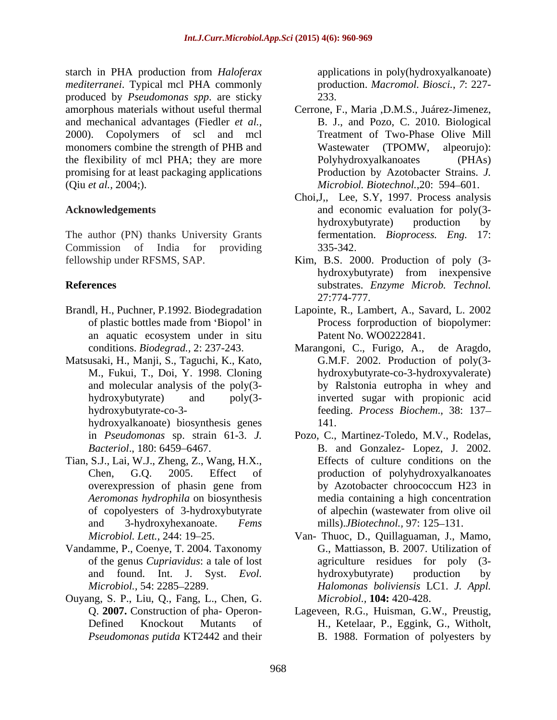starch in PHA production from *Haloferax mediterranei*. Typical mcl PHA commonly produced by *Pseudomonas spp*. are sticky and mechanical advantages (Fiedler *et al.,* 2000). Copolymers of scl and mcl monomers combine the strength of PHB and Wastewater (TPOMW, alpeorujo): the flexibility of mcl PHA; they are more Polyhydroxyalkanoates (PHAs) promising for at least packaging applications

The author (PN) thanks University Grants Commission of India for providing

- 
- Matsusaki, H., Manji, S., Taguchi, K., Kato,

hydroxyalkanoate) biosynthesis genes

- Tian, S.J., Lai, W.J., Zheng, Z., Wang, H.X., *Aeromonas hydrophila* on biosynthesis
- Vandamme, P., Coenye, T. 2004. Taxonomy
- Ouyang, S. P., Liu, Q., Fang, L., Chen, G. *Pseudomonas putida* KT2442 and their B. 1988. Formation of polyesters by

applications in poly(hydroxyalkanoate) production. *Macromol. Biosci.*, *7*: 227- 233.

- amorphous materials without useful thermal Cerrone, F., Maria ,D.M.S., Juárez-Jimenez, (Qiu *et al.,* 2004;). *Microbiol. Biotechnol.*,20: 594 601. B. J., and Pozo, C. 2010. Biological Treatment of Two-Phase Olive Mill Wastewater (TPOMW, Polyhydroxyalkanoates Production by Azotobacter Strains. *J.*
- **Acknowledgements** and economic evaluation for poly(3- Choi,J,, Lee, S.Y, 1997. Process analysis hydroxybutyrate) production by fermentation. *Bioprocess. Eng.* 17: 335-342.
- fellowship under RFSMS, SAP. Kim, B.S. 2000. Production of poly (3- **References** substrates. *Enzyme Microb. Technol.* hydroxybutyrate) from inexpensive 27:774-777.
- Brandl, H., Puchner, P.1992. Biodegradation Lapointe, R., Lambert, A., Savard, L. 2002 of plastic bottles made from 'Biopol' in Process forproduction of biopolymer: an aquatic ecosystem under in situ Process forproduction of biopolymer: Patent No. WO0222841.
	- conditions. *Biodegrad.,* 2: 237-243. M., Fukui, T., Doi, Y. 1998. Cloning hydroxybutyrate-co-3-hydroxyvalerate) and molecular analysis of the poly(3- by Ralstonia eutropha in whey and hydroxybutyrate) and poly(3- inverted sugar with propionic acid hydroxybutyrate-co-3- feeding. *Process Biochem*., 38: 137 Marangoni, C., Furigo, A., G.M.F. 2002. Production of poly(3- 141.
	- in *Pseudomonas* sp. strain 61-3. *J.*  Pozo, C., Martinez-Toledo, M.V., Rodelas, *Bacteriol*., 180: 6459 6467. B. and Gonzalez- Lopez, J. 2002. Chen, G.Q. 2005. Effect of production of polyhydroxyalkanoates overexpression of phasin gene from by Azotobacter chroococcum H23 in of copolyesters of 3-hydroxybutyrate and 3-hydroxyhexanoate. *Fems* mills).*JBiotechnol.*, 97: 125–131. Effects of culture conditions on the by Azotobacter chroococcum H23 in media containing a high concentration of alpechin (wastewater from olive oil
	- *Microbiol. Lett.*, 244: 19–25. Van- Thuoc, D., Quillaguaman, J., Mamo, of the genus *Cupriavidus*: a tale of lost and found. Int. J. Syst. *Evol.* hydroxybutyrate) production by *Microbiol.*, 54: 2285–2289. *Halomonas boliviensis* LC1. *J. Appl. Microbiol.,* 54: 2285 2289. *Halomonas boliviensis* LC1. *J. Appl.* G., Mattiasson, B. 2007. Utilization of agriculture residues for poly hydroxybutyrate) production by *Microbiol.,* **104:** 420-428.
	- Q. **2007.** Construction of pha- Operon-<br>Lageveen, R.G., Huisman, G.W., Preustig, Defined Knockout Mutants of H., Ketelaar, P., Eggink, G., Witholt,